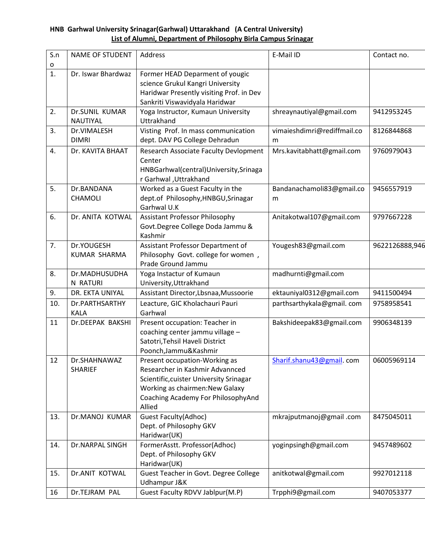## **HNB Garhwal University Srinagar(Garhwal) Uttarakhand (A Central University) List of Alumni, Department of Philosophy Birla Campus Srinagar**

| S.n | <b>NAME OF STUDENT</b>        | Address                                                                                                                                                                                        | E-Mail ID                        | Contact no.    |
|-----|-------------------------------|------------------------------------------------------------------------------------------------------------------------------------------------------------------------------------------------|----------------------------------|----------------|
| o   |                               |                                                                                                                                                                                                |                                  |                |
| 1.  | Dr. Iswar Bhardwaz            | Former HEAD Deparment of yougic<br>science Grukul Kangri University<br>Haridwar Presently visiting Prof. in Dev<br>Sankriti Viswavidyala Haridwar                                              |                                  |                |
| 2.  | Dr.SUNIL KUMAR<br>NAUTIYAL    | Yoga Instructor, Kumaun University<br>Uttrakhand                                                                                                                                               | shreaynautiyal@gmail.com         | 9412953245     |
| 3.  | Dr.VIMALESH<br><b>DIMRI</b>   | Visting Prof. In mass communication<br>dept. DAV PG College Dehradun                                                                                                                           | vimaieshdimri@rediffmail.co<br>m | 8126844868     |
| 4.  | Dr. KAVITA BHAAT              | <b>Research Associate Faculty Devlopment</b><br>Center<br>HNBGarhwal(central)University, Srinaga<br>r Garhwal, Uttrakhand                                                                      | Mrs.kavitabhatt@gmail.com        | 9760979043     |
| 5.  | Dr.BANDANA<br>CHAMOLI         | Worked as a Guest Faculty in the<br>dept.of Philosophy, HNBGU, Srinagar<br>Garhwal U.K                                                                                                         | Bandanachamoli83@gmail.co<br>m   | 9456557919     |
| 6.  | Dr. ANITA KOTWAL              | <b>Assistant Professor Philosophy</b><br>Govt.Degree College Doda Jammu &<br>Kashmir                                                                                                           | Anitakotwal107@gmail.com         | 9797667228     |
| 7.  | Dr.YOUGESH<br>KUMAR SHARMA    | Assistant Professor Department of<br>Philosophy Govt. college for women,<br>Prade Ground Jammu                                                                                                 | Yougesh83@gmail.com              | 9622126888,946 |
| 8.  | Dr.MADHUSUDHA<br>N RATURI     | Yoga Instactur of Kumaun<br>University, Uttrakhand                                                                                                                                             | madhurnti@gmail.com              |                |
| 9.  | DR. EKTA UNIYAL               | Assistant Director, Lbsnaa, Mussoorie                                                                                                                                                          | ektauniyal0312@gmail.com         | 9411500494     |
| 10. | Dr.PARTHSARTHY<br><b>KALA</b> | Leacture, GIC Kholachauri Pauri<br>Garhwal                                                                                                                                                     | parthsarthykala@gmail.com        | 9758958541     |
| 11  | Dr.DEEPAK BAKSHI              | Present occupation: Teacher in<br>coaching center jammu village -<br>Satotri, Tehsil Haveli District<br>Poonch, Jammu& Kashmir                                                                 | Bakshideepak83@gmail.com         | 9906348139     |
| 12  | Dr.SHAHNAWAZ<br>SHARIEF       | Present occupation-Working as<br>Researcher in Kashmir Advannced<br>Scientific, cuister University Srinagar<br>Working as chairmen: New Galaxy<br>Coaching Academy For PhilosophyAnd<br>Allied | Sharif.shanu43@gmail.com         | 06005969114    |
| 13. | Dr.MANOJ KUMAR                | <b>Guest Faculty(Adhoc)</b><br>Dept. of Philosophy GKV<br>Haridwar(UK)                                                                                                                         | mkrajputmanoj@gmail.com          | 8475045011     |
| 14. | Dr.NARPAL SINGH               | FormerAsstt. Professor(Adhoc)<br>Dept. of Philosophy GKV<br>Haridwar(UK)                                                                                                                       | yoginpsingh@gmail.com            | 9457489602     |
| 15. | Dr.ANIT KOTWAL                | Guest Teacher in Govt. Degree College<br>Udhampur J&K                                                                                                                                          | anitkotwal@gmail.com             | 9927012118     |
| 16  | Dr.TEJRAM PAL                 | Guest Faculty RDVV Jablpur(M.P)                                                                                                                                                                | Trpphi9@gmail.com                | 9407053377     |